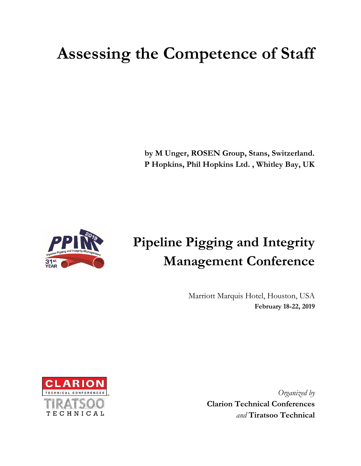# **Assessing the Competence of Staff**

**by M Unger, ROSEN Group, Stans, Switzerland. P Hopkins, Phil Hopkins Ltd. , Whitley Bay, UK**



# **Pipeline Pigging and Integrity Management Conference**

Marriott Marquis Hotel, Houston, USA **February 18-22, 2019**



*Organized by* **Clarion Technical Conferences** *and* **Tiratsoo Technical**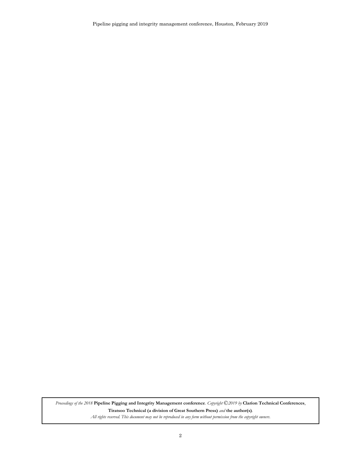Pipeline pigging and integrity management conference, Houston, February 2019

*Proceedings of the 2018* **Pipeline Pigging and Integrity Management conference***. Copyright* ©*2019 by* **Clarion Technical Conferences**, **Tiratsoo Technical (a division of Great Southern Press)** *and* **the author(s)***.* 

*All rights reserved. This document may not be reproduced in any form without permission from the copyright owners.*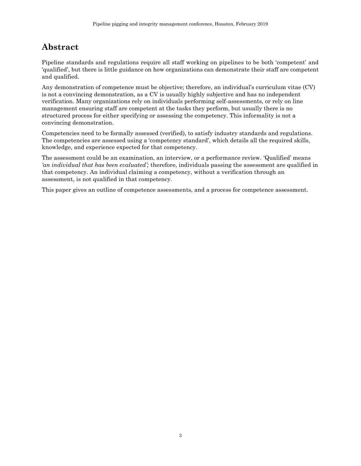## **Abstract**

Pipeline standards and regulations require all staff working on pipelines to be both 'competent' and 'qualified', but there is little guidance on how organizations can demonstrate their staff are competent and qualified.

Any demonstration of competence must be objective; therefore, an individual's curriculum vitae (CV) is not a convincing demonstration, as a CV is usually highly subjective and has no independent verification. Many organizations rely on individuals performing self-assessments, or rely on line management ensuring staff are competent at the tasks they perform, but usually there is no structured process for either specifying or assessing the competency. This informality is not a convincing demonstration.

Competencies need to be formally assessed (verified), to satisfy industry standards and regulations. The competencies are assessed using a 'competency standard', which details all the required skills, knowledge, and experience expected for that competency.

The assessment could be an examination, an interview, or a performance review. 'Qualified' means *'an individual that has been evaluated';* therefore, individuals passing the assessment are qualified in that competency. An individual claiming a competency, without a verification through an assessment, is not qualified in that competency.

This paper gives an outline of competence assessments, and a process for competence assessment.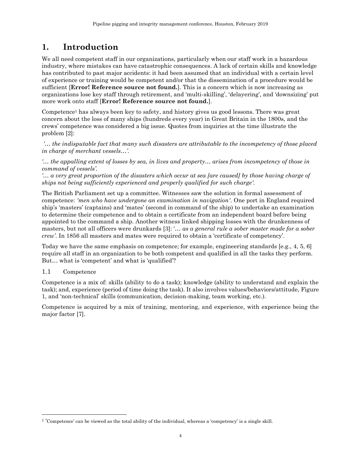## **1. Introduction**

We all need competent staff in our organizations, particularly when our staff work in a hazardous industry, where mistakes can have catastrophic consequences. A lack of certain skills and knowledge has contributed to past major accidents: it had been assumed that an individual with a certain level of experience or training would be competent and/or that the dissemination of a procedure would be sufficient [**Error! Reference source not found.**]. This is a concern which is now increasing as organizations lose key staff through retirement, and 'multi-skilling', 'delayering', and 'downsizing' put more work onto staff [**Error! Reference source not found.**].

Competence<sup>1</sup> has always been key to safety, and history gives us good lessons. There was great concern about the loss of many ships (hundreds every year) in Great Britain in the 1800s, and the crews' competence was considered a big issue. Quotes from inquiries at the time illustrate the problem [\[2\]](#page-12-0):

*'… the indisputable fact that many such disasters are attributable to the incompetency of those placed in charge of merchant vessels…'.* 

*'… the appalling extent of losses by sea, in lives and property… arises from incompetency of those in command of vessels'.*

*'… a very great proportion of the disasters which occur at sea [are caused] by those having charge of ships not being sufficiently experienced and properly qualified for such charge'.*

The British Parliament set up a committee. Witnesses saw the solution in formal assessment of competence: *'men who have undergone an examination in navigation'*. One port in England required ship's 'masters' (captains) and 'mates' (second in command of the ship) to undertake an examination to determine their competence and to obtain a certificate from an independent board before being appointed to the command a ship. Another witness linked shipping losses with the drunkenness of masters, but not all officers were drunkards [\[3](#page-12-1)]: '… *as a general rule a sober master made for a sober crew'*. In 1856 all masters and mates were required to obtain a 'certificate of competency'.

Today we have the same emphasis on competence; for example, engineering standards [e.g., [4,](#page-12-2) [5,](#page-12-3) [6\]](#page-12-4) require all staff in an organization to be both competent and qualified in all the tasks they perform. But… what is 'competent' and what is 'qualified'?

#### 1.1 Competence

l

Competence is a mix of: skills (ability to do a task); knowledge (ability to understand and explain the task); and, experience (period of time doing the task). It also involves values/behaviors/attitude, [Figure](#page-4-0)  [1](#page-4-0), and 'non-technical' skills (communication, decision-making, team working, etc.).

Competence is acquired by a mix of training, mentoring, and experience, with experience being the major factor [\[7\]](#page-12-5).

<sup>&</sup>lt;sup>1</sup> 'Competence' can be viewed as the total ability of the individual, whereas a 'competency' is a single skill.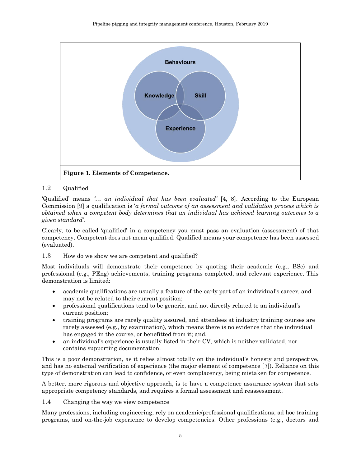

#### <span id="page-4-0"></span>1.2 Qualified

'Qualified' means *'… an individual that has been evaluated'* [\[4,](#page-12-2) [8\]](#page-12-6). According to the European Commission [\[9](#page-12-7)] a qualification is '*a formal outcome of an assessment and validation process which is obtained when a competent body determines that an individual has achieved learning outcomes to a given standard*'.

Clearly, to be called 'qualified' in a competency you must pass an evaluation (assessment) of that competency. Competent does not mean qualified. Qualified means your competence has been assessed (evaluated).

1.3 How do we show we are competent and qualified?

Most individuals will demonstrate their competence by quoting their academic (e.g., BSc) and professional (e.g., PEng) achievements, training programs completed, and relevant experience. This demonstration is limited:

- academic qualifications are usually a feature of the early part of an individual's career, and may not be related to their current position;
- professional qualifications tend to be generic, and not directly related to an individual's current position;
- training programs are rarely quality assured, and attendees at industry training courses are rarely assessed (e.g., by examination), which means there is no evidence that the individual has engaged in the course, or benefitted from it; and,
- an individual's experience is usually listed in their CV, which is neither validated, nor contains supporting documentation.

This is a poor demonstration, as it relies almost totally on the individual's honesty and perspective, and has no external verification of experience (the major element of competence [\[7\]](#page-12-5)). Reliance on this type of demonstration can lead to confidence, or even complacency, being mistaken for competence.

A better, more rigorous and objective approach, is to have a competence assurance system that sets appropriate competency standards, and requires a formal assessment and reassessment.

1.4 Changing the way we view competence

Many professions, including engineering, rely on academic/professional qualifications, ad hoc training programs, and on-the-job experience to develop competencies. Other professions (e.g., doctors and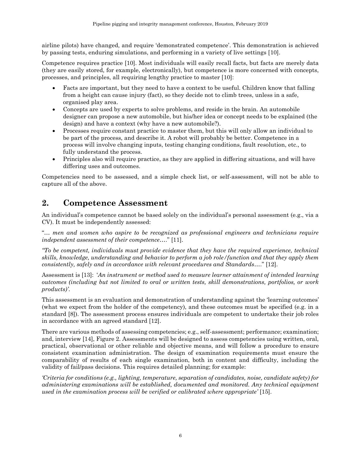airline pilots) have changed, and require 'demonstrated competence'. This demonstration is achieved by passing tests, enduring simulations, and performing in a variety of live settings [\[10\]](#page-12-8).

Competence requires practice [\[10\]](#page-12-8). Most individuals will easily recall facts, but facts are merely data (they are easily stored, for example, electronically), but competence is more concerned with concepts, processes, and principles, all requiring lengthy practice to master [\[10\]](#page-12-8):

- Facts are important, but they need to have a context to be useful. Children know that falling from a height can cause injury (fact), so they decide not to climb trees, unless in a safe, organised play area.
- Concepts are used by experts to solve problems, and reside in the brain. An automobile designer can propose a new automobile, but his/her idea or concept needs to be explained (the design) and have a context (why have a new automobile?).
- Processes require constant practice to master them, but this will only allow an individual to be part of the process, and describe it. A robot will probably be better. Competence in a process will involve changing inputs, testing changing conditions, fault resolution, etc., to fully understand the process.
- Principles also will require practice, as they are applied in differing situations, and will have differing uses and outcomes.

Competencies need to be assessed, and a simple check list, or self-assessment, will not be able to capture all of the above.

## **2. Competence Assessment**

An individual's competence cannot be based solely on the individual's personal assessment (e.g., via a CV). It must be independently assessed:

"… *men and women who aspire to be recognized as professional engineers and technicians require independent assessment of their competence…*." [[11\]](#page-12-9).

*"To be competent, individuals must provide evidence that they have the required experience, technical skills, knowledge, understanding and behavior to perform a job role/function and that they apply them consistently, safely and in accordance with relevant procedures and Standards…*." [[12\]](#page-13-0).

Assessment is [\[13](#page-13-1)]: '*An instrument or method used to measure learner attainment of intended learning outcomes (including but not limited to oral or written tests, skill demonstrations, portfolios, or work products)'*.

This assessment is an evaluation and demonstration of understanding against the 'learning outcomes' (what we expect from the holder of the competency), and these outcomes must be specified (e.g. in a standard [\[8\]](#page-12-6)). The assessment process ensures individuals are competent to undertake their job roles in accordance with an agreed standard [\[12\]](#page-13-0).

There are various methods of assessing competencies; e.g., self-assessment; performance; examination; and, interview [\[14\]](#page-13-2), [Figure 2.](#page-6-0) Assessments will be designed to assess competencies using written, oral, practical, observational or other reliable and objective means, and will follow a procedure to ensure consistent examination administration. The design of examination requirements must ensure the comparability of results of each single examination, both in content and difficulty, including the validity of fail/pass decisions. This requires detailed planning; for example:

*'Criteria for conditions (e.g., lighting, temperature, separation of candidates, noise, candidate safety) for administering examinations will be established, documented and monitored. Any technical equipment used in the examination process will be verified or calibrated where appropriate'* [\[15\]](#page-13-3).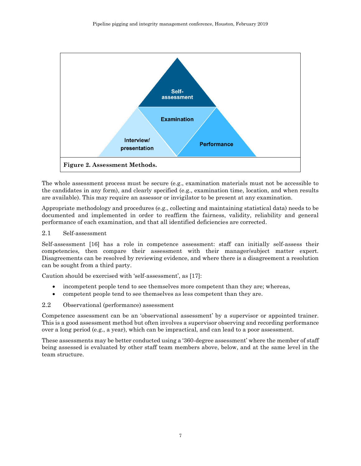

<span id="page-6-0"></span>The whole assessment process must be secure (e.g., examination materials must not be accessible to the candidates in any form), and clearly specified (e.g., examination time, location, and when results are available). This may require an assessor or invigilator to be present at any examination.

Appropriate methodology and procedures (e.g., collecting and maintaining statistical data) needs to be documented and implemented in order to reaffirm the fairness, validity, reliability and general performance of each examination, and that all identified deficiencies are corrected.

#### 2.1 Self-assessment

Self-assessment [\[16\]](#page-13-4) has a role in competence assessment: staff can initially self-assess their competencies, then compare their assessment with their manager/subject matter expert. Disagreements can be resolved by reviewing evidence, and where there is a disagreement a resolution can be sought from a third party.

Caution should be exercised with 'self-assessment', as [[17\]](#page-13-5):

- incompetent people tend to see themselves more competent than they are; whereas,
- competent people tend to see themselves as less competent than they are.

#### 2.2 Observational (performance) assessment

Competence assessment can be an 'observational assessment' by a supervisor or appointed trainer. This is a good assessment method but often involves a supervisor observing and recording performance over a long period (e.g., a year), which can be impractical, and can lead to a poor assessment.

These assessments may be better conducted using a '360-degree assessment' where the member of staff being assessed is evaluated by other staff team members above, below, and at the same level in the team structure.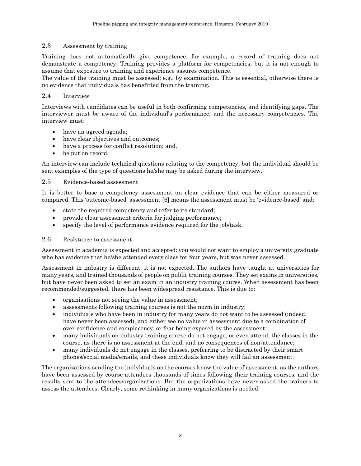#### 2.3 Assessment by training

Training does not automatically give competence; for example, a record of training does not demonstrate a competency. Training provides a platform for competencies, but it is not enough to assume that exposure to training and experience assures competence.

The value of the training must be assessed; e.g., by examination. This is essential, otherwise there is no evidence that individuals has benefitted from the training.

#### 2.4 Interview

Interviews with candidates can be useful in both confirming competencies, and identifying gaps. The interviewer must be aware of the individual's performance, and the necessary competencies. The interview must:

- have an agreed agenda;
- have clear objectives and outcomes;
- have a process for conflict resolution; and,
- be put on record.

An interview can include technical questions relating to the competency, but the individual should be sent examples of the type of questions he/she may be asked during the interview.

#### 2.5 Evidence-based assessment

It is better to base a competency assessment on clear evidence that can be either measured or compared. This 'outcome-based' assessment [6] means the assessment must be 'evidence-based' and:

- state the required competency and refer to its standard;
- provide clear assessment criteria for judging performance;
- specify the level of performance evidence required for the job/task.

#### 2.6 Resistance to assessment

Assessment in academia is expected and accepted: you would not want to employ a university graduate who has evidence that he/she attended every class for four years, but was never assessed.

Assessment in industry is different: it is not expected. The authors have taught at universities for many years, and trained thousands of people on public training courses. They set exams in universities, but have never been asked to set an exam in an industry training course. When assessment has been recommended/suggested, there has been widespread resistance. This is due to:

- organisations not seeing the value in assessment;
- assessments following training courses is not the norm in industry;
- individuals who have been in industry for many years do not want to be assessed (indeed, have never been assessed), and either see no value in assessment due to a combination of over-confidence and complacency, or fear being exposed by the assessment;
- many individuals on industry training course do not engage, or even attend, the classes in the course, as there is no assessment at the end, and no consequences of non-attendance;
- many individuals do not engage in the classes, preferring to be distracted by their smart phones/social media/emails, and these individuals know they will fail an assessment.

The organizations sending the individuals on the courses know the value of assessment, as the authors have been assessed by course attendees thousands of times following their training courses, and the results sent to the attendees/organizations. But the organizations have never asked the trainers to assess the attendees. Clearly, some rethinking in many organizations is needed.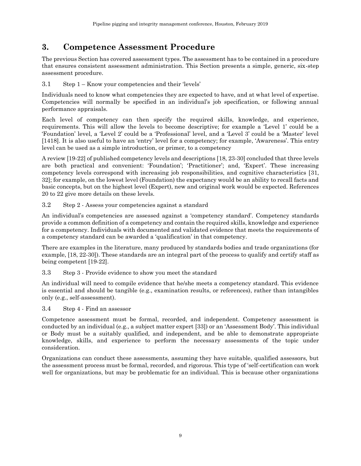## **3. Competence Assessment Procedure**

The previous Section has covered assessment types. The assessment has to be contained in a procedure that ensures consistent assessment administration. This Section presents a simple, generic, six-step assessment procedure.

3.1 Step 1 – Know your competencies and their 'levels'

Individuals need to know what competencies they are expected to have, and at what level of expertise. Competencies will normally be specified in an individual's job specification, or following annual performance appraisals.

Each level of competency can then specify the required skills, knowledge, and experience, requirements. This will allow the levels to become descriptive; for example a 'Level 1' could be a 'Foundation' level, a 'Level 2' could be a 'Professional' level, and a 'Level 3' could be a 'Master' level [\[1418\]](#page-13-6). It is also useful to have an 'entry' level for a competency; for example, 'Awareness'. This entry level can be used as a simple introduction, or primer, to a competency

A review [\[19-](#page-13-7)[22\]](#page-13-8) of published competency levels and descriptions [\[18,](#page-13-6) [23-](#page-13-9)[30\]](#page-13-10) concluded that three levels are both practical and convenient: 'Foundation'; 'Practitioner'; and, 'Expert'. These increasing competency levels correspond with increasing job responsibilities, and cognitive characteristics [\[31,](#page-13-11) [32\]](#page-13-12); for example, on the lowest level (Foundation) the expectancy would be an ability to recall facts and basic concepts, but on the highest level (Expert), new and original work would be expected. References [20](#page-13-13) to [22](#page-13-8) give more details on these levels.

3.2 Step 2 - Assess your competencies against a standard

An individual's competencies are assessed against a 'competency standard'. Competency standards provide a common definition of a competency and contain the required skills, knowledge and experience for a competency. Individuals with documented and validated evidence that meets the requirements of a competency standard can be awarded a 'qualification' in that competency.

There are examples in the literature, many produced by standards bodies and trade organizations (for example, [\[18,](#page-13-6) [22-](#page-13-8)[30\]](#page-13-10)). These standards are an integral part of the process to qualify and certify staff as being competent [\[19](#page-13-7)[-22\]](#page-13-8).

3.3 Step 3 - Provide evidence to show you meet the standard

An individual will need to compile evidence that he/she meets a competency standard. This evidence is essential and should be tangible (e.g., examination results, or references), rather than intangibles only (e.g., self-assessment).

3.4 Step 4 - Find an assessor

Competence assessment must be formal, recorded, and independent. Competency assessment is conducted by an individual (e.g., a subject matter expert [\[33](#page-13-14)]) or an 'Assessment Body'. This individual or Body must be a suitably qualified, and independent, and be able to demonstrate appropriate knowledge, skills, and experience to perform the necessary assessments of the topic under consideration.

Organizations can conduct these assessments, assuming they have suitable, qualified assessors, but the assessment process must be formal, recorded, and rigorous. This type of 'self-certification can work well for organizations, but may be problematic for an individual. This is because other organizations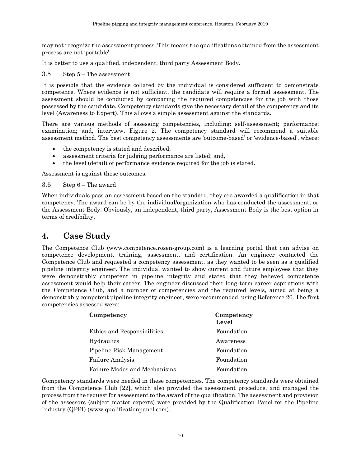may not recognize the assessment process. This means the qualifications obtained from the assessment process are not 'portable'.

It is better to use a qualified, independent, third party Assessment Body.

#### 3.5 Step 5 – The assessment

It is possible that the evidence collated by the individual is considered sufficient to demonstrate competence. Where evidence is not sufficient, the candidate will require a formal assessment. The assessment should be conducted by comparing the required competencies for the job with those possessed by the candidate. Competency standards give the necessary detail of the competency and its level (Awareness to Expert). This allows a simple assessment against the standards.

There are various methods of assessing competencies, including: self-assessment; performance; examination; and, interview, [Figure 2.](#page-6-0) The competency standard will recommend a suitable assessment method. The best competency assessments are 'outcome-based' or 'evidence-based', where:

- the competency is stated and described;
- assessment criteria for judging performance are listed; and,
- the level (detail) of performance evidence required for the job is stated.

Assessment is against these outcomes.

3.6 Step 6 – The award

When individuals pass an assessment based on the standard, they are awarded a qualification in that competency. The award can be by the individual/organization who has conducted the assessment, or the Assessment Body. Obviously, an independent, third party, Assessment Body is the best option in terms of credibility.

### **4. Case Study**

The Competence Club (www[.competence.rosen-group.com\)](http://competence.rosen-group.com/) is a learning portal that can advise on competence development, training, assessment, and certification. An engineer contacted the Competence Club and requested a competency assessment, as they wanted to be seen as a qualified pipeline integrity engineer. The individual wanted to show current and future employees that they were demonstrably competent in pipeline integrity and stated that they believed competence assessment would help their career. The engineer discussed their long-term career aspirations with the Competence Club, and a number of competencies and the required levels, aimed at being a demonstrably competent pipeline integrity engineer, were recommended, using Reference [20.](#page-13-13) The first competencies assessed were:

| Competency                   | Competency<br>Level |
|------------------------------|---------------------|
| Ethics and Responsibilities  | Foundation          |
| Hydraulics                   | Awareness           |
| Pipeline Risk Management     | Foundation          |
| <b>Failure Analysis</b>      | Foundation          |
| Failure Modes and Mechanisms | Foundation          |

Competency standards were needed in these competencies. The competency standards were obtained from the Competence Club [\[22\]](#page-13-8), which also provided the assessment procedure, and managed the process from the request for assessment to the award of the qualification. The assessment and provision of the assessors (subject matter experts) were provided by the Qualification Panel for the Pipeline Industry (QPPI) [\(www.qualificationpanel.com\)](http://www.qualificationpanel.com/).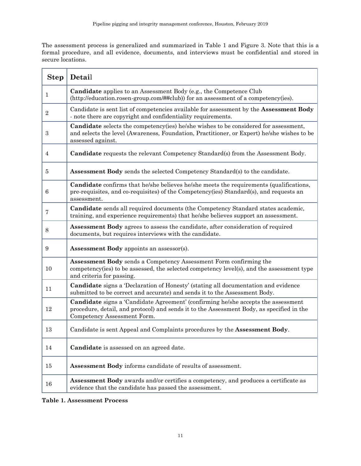The assessment process is generalized and summarized in [Table 1](#page-10-0) and [Figure 3.](#page-11-0) Note that this is a formal procedure, and all evidence, documents, and interviews must be confidential and stored in secure locations.

| <b>Step</b>      | Detail                                                                                                                                                                                                        |
|------------------|---------------------------------------------------------------------------------------------------------------------------------------------------------------------------------------------------------------|
| 1                | Candidate applies to an Assessment Body (e.g., the Competence Club<br>(http://education.rosen-group.com/##club)) for an assessment of a competency(ies).                                                      |
| $\sqrt{2}$       | Candidate is sent list of competencies available for assessment by the Assessment Body<br>- note there are copyright and confidentiality requirements.                                                        |
| $\boldsymbol{3}$ | Candidate selects the competency(ies) he/she wishes to be considered for assessment,<br>and selects the level (Awareness, Foundation, Practitioner, or Expert) he/she wishes to be<br>assessed against.       |
| 4                | Candidate requests the relevant Competency Standard(s) from the Assessment Body.                                                                                                                              |
| 5                | Assessment Body sends the selected Competency Standard(s) to the candidate.                                                                                                                                   |
| $\,6\,$          | <b>Candidate</b> confirms that he/she believes he/she meets the requirements (qualifications,<br>pre-requisites, and co-requisites) of the Competency(ies) Standard(s), and requests an<br>assessment.        |
| 7                | Candidate sends all required documents (the Competency Standard states academic,<br>training, and experience requirements) that he/she believes support an assessment.                                        |
| 8                | Assessment Body agrees to assess the candidate, after consideration of required<br>documents, but requires interviews with the candidate.                                                                     |
| 9                | Assessment Body appoints an assessor(s).                                                                                                                                                                      |
| 10               | Assessment Body sends a Competency Assessment Form confirming the<br>competency(ies) to be assessed, the selected competency level(s), and the assessment type<br>and criteria for passing.                   |
| 11               | <b>Candidate</b> signs a 'Declaration of Honesty' (stating all documentation and evidence<br>submitted to be correct and accurate) and sends it to the Assessment Body.                                       |
| 12               | Candidate signs a 'Candidate Agreement' (confirming he/she accepts the assessment<br>procedure, detail, and protocol) and sends it to the Assessment Body, as specified in the<br>Competency Assessment Form. |
| 13               | Candidate is sent Appeal and Complaints procedures by the Assessment Body.                                                                                                                                    |
| 14               | Candidate is assessed on an agreed date.                                                                                                                                                                      |
| 15               | Assessment Body informs candidate of results of assessment.                                                                                                                                                   |
| 16               | <b>Assessment Body</b> awards and/or certifies a competency, and produces a certificate as<br>evidence that the candidate has passed the assessment.                                                          |

<span id="page-10-0"></span>**Table 1. Assessment Process**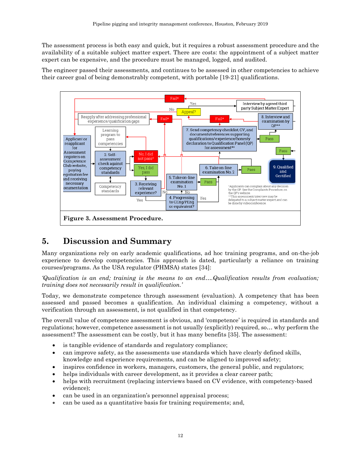The assessment process is both easy and quick, but it requires a robust assessment procedure and the availability of a suitable subject matter expert. There are costs: the appointment of a subject matter expert can be expensive, and the procedure must be managed, logged, and audited.

The engineer passed their assessments, and continues to be assessed in other competencies to achieve their career goal of being demonstrably competent, with portable [\[19-](#page-13-7)[21\]](#page-13-15) qualifications.



### <span id="page-11-0"></span>**5. Discussion and Summary**

Many organizations rely on early academic qualifications, ad hoc training programs, and on-the-job experience to develop competencies. This approach is dated, particularly a reliance on training courses/programs. As the USA regulator (PHMSA) states [\[34\]](#page-13-16):

*'Qualification is an end; training is the means to an end….Qualification results from evaluation; training does not necessarily result in qualification.'*

Today, we demonstrate competence through assessment (evaluation). A competency that has been assessed and passed becomes a qualification. An individual claiming a competency, without a verification through an assessment, is not qualified in that competency.

The overall value of competence assessment is obvious, and 'competence' is required in standards and regulations; however, competence assessment is not usually (explicitly) required, so… why perform the assessment? The assessment can be costly, but it has many benefits [\[35\]](#page-14-0). The assessment:

- is tangible evidence of standards and regulatory compliance;
- can improve safety, as the assessments use standards which have clearly defined skills, knowledge and experience requirements, and can be aligned to improved safety;
- inspires confidence in workers, managers, customers, the general public, and regulators;
- helps individuals with career development, as it provides a clear career path;
- helps with recruitment (replacing interviews based on CV evidence, with competency-based evidence);
- can be used in an organization's personnel appraisal process;
- can be used as a quantitative basis for training requirements; and,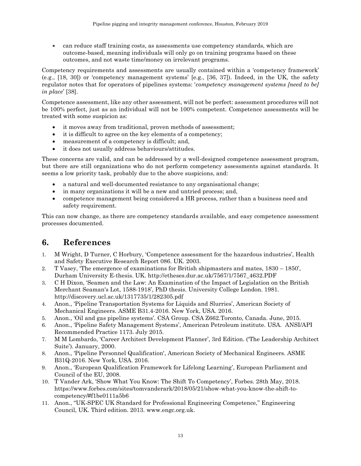can reduce staff training costs, as assessments use competency standards, which are outcome-based, meaning individuals will only go on training programs based on these outcomes, and not waste time/money on irrelevant programs.

Competency requirements and assessments are usually contained within a 'competency framework' (e.g., [\[18,](#page-13-6) [30\]](#page-13-10)) or 'competency management systems' [e.g., [[36,](#page-14-1) [37\]](#page-14-2)). Indeed, in the UK, the safety regulator notes that for operators of pipelines systems: '*competency management systems [need to be] in place*' [[38\]](#page-14-3).

Competence assessment, like any other assessment, will not be perfect: assessment procedures will not be 100% perfect, just as an individual will not be 100% competent. Competence assessments will be treated with some suspicion as:

- it moves away from traditional, proven methods of assessment;
- it is difficult to agree on the key elements of a competency;
- measurement of a competency is difficult; and,
- it does not usually address behaviours/attitudes.

These concerns are valid, and can be addressed by a well-designed competence assessment program, but there are still organizations who do not perform competency assessments against standards. It seems a low priority task, probably due to the above suspicions, and:

- a natural and well-documented resistance to any organisational change;
- in many organizations it will be a new and untried process; and,
- competence management being considered a HR process, rather than a business need and safety requirement.

This can now change, as there are competency standards available, and easy competence assessment processes documented.

## **6. References**

- 1. M Wright, D Turner, C Horbury, 'Competence assessment for the hazardous industries', Health and Safety Executive Research Report 086. UK. 2003.
- <span id="page-12-0"></span>2. T Vasey, 'The emergence of examinations for British shipmasters and mates, 1830 – 1850', Durham University E-thesis. UK. http://etheses.dur.ac.uk/7567/1/7567\_4632.PDF
- <span id="page-12-1"></span>3. C H Dixon, 'Seamen and the Law: An Examination of the Impact of Legislation on the British Merchant Seaman's Lot, 1588-1918', PhD thesis. University College London. 1981. http://discovery.ucl.ac.uk/1317735/1/282305.pdf
- <span id="page-12-2"></span>4. Anon., 'Pipeline Transportation Systems for Liquids and Slurries', American Society of Mechanical Engineers. ASME B31.4-2016. New York, USA. 2016.
- <span id="page-12-3"></span>5. Anon., 'Oil and gas pipeline systems'. CSA Group. CSA Z662.Toronto, Canada. June, 2015.
- <span id="page-12-4"></span>6. Anon., 'Pipeline Safety Management Systems', American Petroleum institute. USA. ANSI/API Recommended Practice 1173. July 2015.
- <span id="page-12-5"></span>7. M M Lombardo, 'Career Architect Development Planner', 3rd Edition. ('The Leadership Architect Suite'). January, 2000.
- <span id="page-12-6"></span>8. Anon., 'Pipeline Personnel Qualification', American Society of Mechanical Engineers. ASME B31Q-2016. New York, USA. 2016.
- <span id="page-12-7"></span>9. Anon., 'European Qualification Framework for Lifelong Learning', European Parliament and Council of the EU, 2008.
- <span id="page-12-8"></span>10. T Vander Ark, 'Show What You Know: The Shift To Competency', Forbes. 28th May, 2018. https://www.forbes.com/sites/tomvanderark/2018/05/21/show-what-you-know-the-shift-tocompetency/#f1be0111a5b6
- <span id="page-12-9"></span>11. Anon., "UK-SPEC UK Standard for Professional Engineering Competence," Engineering Council, UK. Third edition. 2013. [www.engc.org.uk.](http://www.engc.org.uk/)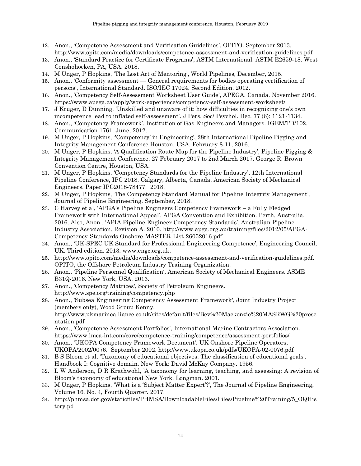- <span id="page-13-0"></span>12. Anon., 'Competence Assessment and Verification Guidelines', OPITO. September 2013. <http://www.opito.com/media/downloads/competence-assessment-and-verification-guidelines.pdf>
- <span id="page-13-1"></span>13. Anon., 'Standard Practice for Certificate Programs', ASTM International. ASTM E2659-18. West Conshohocken, PA, USA. 2018.
- <span id="page-13-2"></span>14. M Unger, P Hopkins, 'The Lost Art of Mentoring', World Pipelines, December, 2015.
- <span id="page-13-3"></span>15. Anon., 'Conformity assessment — General requirements for bodies operating certification of persons', International Standard. ISO/IEC 17024. Second Edition. 2012.
- <span id="page-13-4"></span>16. Anon., 'Competency Self-Assessment Worksheet User Guide', APEGA. Canada. November 2016. <https://www.apega.ca/apply/work-experience/competency-self-assessment-worksheet/>
- <span id="page-13-5"></span>17. J Kruger, D Dunning, 'Unskilled and unaware of it: how difficulties in recognizing one's own incompetence lead to inflated self-assessment'. J Pers. Soc/ Psychol. Dec. 77 (6): 1121-1134.
- <span id="page-13-6"></span>18. Anon., 'Competency Framework'. Institution of Gas Engineers and Managers. IGEM/TD/102. Communication 1761. June, 2012.
- <span id="page-13-7"></span>19. M Unger, P Hopkins, ''Competency' in Engineering', 28th International Pipeline Pigging and Integrity Management Conference Houston, USA, February 8-11, 2016.
- <span id="page-13-13"></span>20. M Unger, P Hopkins, 'A Qualification Route Map for the Pipeline Industry', Pipeline Pigging & Integrity Management Conference. 27 February 2017 to 2nd March 2017. George R. Brown Convention Centre, Houston, USA.
- <span id="page-13-15"></span>21. M Unger, P Hopkins, 'Competency Standards for the Pipeline Industry', 12th International Pipeline Conference, IPC 2018. Calgary, Alberta, Canada. American Society of Mechanical Engineers. Paper IPC2018-78477. 2018.
- <span id="page-13-8"></span>22. M Unger, P Hopkins, 'The Competency Standard Manual for Pipeline Integrity Management', Journal of Pipeline Engineering. September, 2018.
- <span id="page-13-9"></span>23. C Harvey et al, 'APGA's Pipeline Engineers Competency Framework – a Fully Fledged Framework with International Appeal', APGA Convention and Exhibition. Perth, Australia. 2016. Also, Anon., 'APIA Pipeline Engineer Competency Standards', Australian Pipeline Industry Association. Revision A. 2010. http://www.apga.org.au/training/files/2012/05/APGA-Competency-Standards-Onshore-MASTER-List-26052016.pdf.
- 24. Anon., 'UK-SPEC UK Standard for Professional Engineering Competence', Engineering Council, UK. Third edition. 2013. www.engc.org.uk.
- 25. http://www.opito.com/media/downloads/competence-assessment-and-verification-guidelines.pdf. OPITO, the Offshore Petroleum Industry Training Organization.
- 26. Anon., 'Pipeline Personnel Qualification', American Society of Mechanical Engineers. ASME B31Q-2016. New York, USA. 2016.
- 27. Anon., 'Competency Matrices', Society of Petroleum Engineers. http://www.spe.org/training/competency.php
- 28. Anon., 'Subsea Engineering Competency Assessment Framework', Joint Industry Project (members only), Wood Group Kenny. [http://www.ukmarinealliance.co.uk/sites/default/files/Bev%20Mackenzie%20MASRWG%20prese](http://www.ukmarinealliance.co.uk/sites/default/files/Bev%20Mackenzie%20MASRWG%20presentation.pdf) [ntation.pdf](http://www.ukmarinealliance.co.uk/sites/default/files/Bev%20Mackenzie%20MASRWG%20presentation.pdf)
- 29. Anon., 'Competence Assessment Portfolios', International Marine Contractors Association. <https://www.imca-int.com/core/competence-training/competence/assessment-portfolios/>
- <span id="page-13-10"></span>30. Anon., 'UKOPA Competency Framework Document'. UK Onshore Pipeline Operators, UKOPA/2002/0076. September 2002.<http://www.ukopa.co.uk/pdfs/UKOPA-02-0076.pdf>
- <span id="page-13-11"></span>31. B S Bloom et al, 'Taxonomy of educational objectives: The classification of educational goals'. Handbook I: Cognitive domain. New York: David McKay Company. 1956.
- <span id="page-13-12"></span>32. L W Anderson, D R Krathwohl, 'A taxonomy for learning, teaching, and assessing: A revision of Bloom's taxonomy of educational New York. Longman. 2001.
- <span id="page-13-14"></span>33. M Unger, P Hopkins, 'What is a 'Subject Matter Expert'?', The Journal of Pipeline Engineering, Volume 16, No. 4, Fourth Quarter. 2017.
- <span id="page-13-16"></span>34. http://phmsa.dot.gov/staticfiles/PHMSA/DownloadableFiles/Files/Pipeline%20Training/5\_OQHis tory.pd